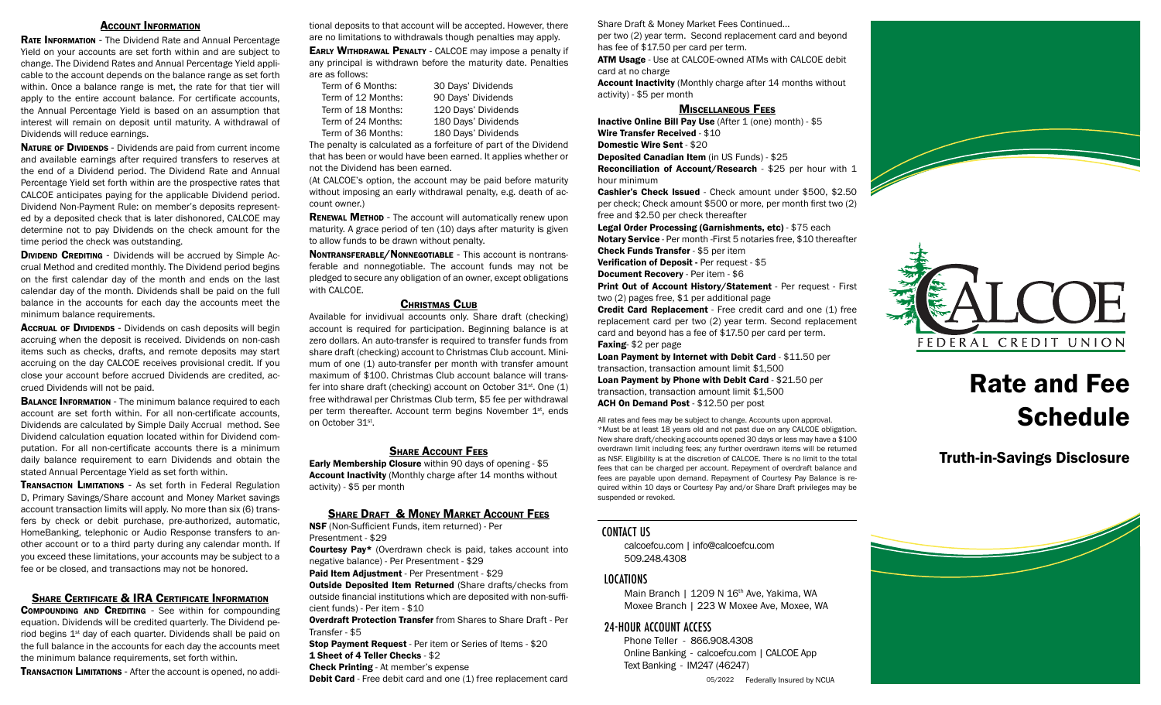#### Account Information

RATE INFORMATION - The Dividend Rate and Annual Percentage Yield on your accounts are set forth within and are subject to change. The Dividend Rates and Annual Percentage Yield applicable to the account depends on the balance range as set forth within. Once a balance range is met, the rate for that tier will apply to the entire account balance. For certificate accounts, the Annual Percentage Yield is based on an assumption that interest will remain on deposit until maturity. A withdrawal of Dividends will reduce earnings.

NATURE OF DIVIDENDS - Dividends are paid from current income and available earnings after required transfers to reserves at the end of a Dividend period. The Dividend Rate and Annual Percentage Yield set forth within are the prospective rates that CALCOE anticipates paying for the applicable Dividend period. Dividend Non-Payment Rule: on member's deposits represented by a deposited check that is later dishonored, CALCOE may determine not to pay Dividends on the check amount for the time period the check was outstanding.

**DIVIDEND CREDITING - Dividends will be accrued by Simple Ac**crual Method and credited monthly. The Dividend period begins on the first calendar day of the month and ends on the last calendar day of the month. Dividends shall be paid on the full balance in the accounts for each day the accounts meet the minimum balance requirements.

**Accrual of Dividends** - Dividends on cash deposits will begin accruing when the deposit is received. Dividends on non-cash items such as checks, drafts, and remote deposits may start accruing on the day CALCOE receives provisional credit. If you close your account before accrued Dividends are credited, accrued Dividends will not be paid.

**BALANCE INFORMATION** - The minimum balance required to each account are set forth within. For all non-certificate accounts, Dividends are calculated by Simple Daily Accrual method. See Dividend calculation equation located within for Dividend computation. For all non-certificate accounts there is a minimum daily balance requirement to earn Dividends and obtain the stated Annual Percentage Yield as set forth within.

**TRANSACTION LIMITATIONS - As set forth in Federal Regulation** D, Primary Savings/Share account and Money Market savings account transaction limits will apply. No more than six (6) transfers by check or debit purchase, pre-authorized, automatic, HomeBanking, telephonic or Audio Response transfers to another account or to a third party during any calendar month. If you exceed these limitations, your accounts may be subject to a fee or be closed, and transactions may not be honored.

#### SHARE CERTIFICATE & **IRA CERTIFICATE INFORMATION**

COMPOUNDING AND CREDITING - See within for compounding equation. Dividends will be credited quarterly. The Dividend period begins 1<sup>st</sup> day of each quarter. Dividends shall be paid on the full balance in the accounts for each day the accounts meet the minimum balance requirements, set forth within.

**TRANSACTION LIMITATIONS** - After the account is opened, no addi-

tional deposits to that account will be accepted. However, there are no limitations to withdrawals though penalties may apply.

**EARLY WITHDRAWAL PENALTY - CALCOE may impose a penalty if** any principal is withdrawn before the maturity date. Penalties are as follows:

| Term of 6 Months:  | 30 Days' Dividends  |
|--------------------|---------------------|
| Term of 12 Months: | 90 Days' Dividends  |
| Term of 18 Months: | 120 Days' Dividends |
| Term of 24 Months: | 180 Days' Dividends |
| Term of 36 Months: | 180 Days' Dividends |
|                    |                     |

The penalty is calculated as a forfeiture of part of the Dividend that has been or would have been earned. It applies whether or not the Dividend has been earned.

(At CALCOE's option, the account may be paid before maturity without imposing an early withdrawal penalty, e.g. death of account owner.)

**RENEWAL METHOD** - The account will automatically renew upon maturity. A grace period of ten (10) days after maturity is given to allow funds to be drawn without penalty.

Nontransferable/Nonnegotiable - This account is nontransferable and nonnegotiable. The account funds may not be pledged to secure any obligation of an owner, except obligations with CALCOE.

## CHRISTMAS CLUB

Available for invidivual accounts only. Share draft (checking) account is required for participation. Beginning balance is at zero dollars. An auto-transfer is required to transfer funds from share draft (checking) account to Christmas Club account. Minimum of one (1) auto-transfer per month with transfer amount maximum of \$100. Christmas Club account balance will transfer into share draft (checking) account on October  $31<sup>st</sup>$ . One (1) free withdrawal per Christmas Club term, \$5 fee per withdrawal per term thereafter. Account term begins November 1<sup>st</sup>, ends on October 31st.

#### **SHARE ACCOUNT FEES**

Early Membership Closure within 90 days of opening - \$5 Account Inactivity (Monthly charge after 14 months without activity) - \$5 per month

## **SHARE DRAFT & MONEY MARKET ACCOUNT FEES**

NSF (Non-Sufficient Funds, item returned) - Per Presentment - \$29

**Courtesy Pay\*** (Overdrawn check is paid, takes account into negative balance) - Per Presentment - \$29

Paid Item Adjustment - Per Presentment - \$29

**Outside Deposited Item Returned (Share drafts/checks from** outside financial institutions which are deposited with non-sufficient funds) - Per item - \$10

Overdraft Protection Transfer from Shares to Share Draft - Per Transfer - \$5

Stop Payment Request - Per item or Series of Items - \$20 1 Sheet of 4 Teller Checks - \$2 Check Printing - At member's expense

**Debit Card** - Free debit card and one (1) free replacement card

Share Draft & Money Market Fees Continued...

per two (2) year term. Second replacement card and beyond has fee of \$17.50 per card per term.

ATM Usage - Use at CALCOE-owned ATMs with CALCOE debit card at no charge

Account Inactivity (Monthly charge after 14 months without activity) - \$5 per month

## Miscellaneous Fees

Inactive Online Bill Pay Use (After 1 (one) month) - \$5 Wire Transfer Received - \$10 Domestic Wire Sent - \$20

Deposited Canadian Item (in US Funds) - \$25 Reconciliation of Account/Research - \$25 per hour with 1 hour minimum

Cashier's Check Issued - Check amount under \$500, \$2.50 per check; Check amount \$500 or more, per month first two (2) free and \$2.50 per check thereafter

Legal Order Processing (Garnishments, etc) - \$75 each Notary Service - Per month -First 5 notaries free, \$10 thereafter

Check Funds Transfer - \$5 per item

Verification of Deposit - Per request - \$5

Document Recovery - Per item - \$6

Print Out of Account History/Statement - Per request - First two (2) pages free, \$1 per additional page

Credit Card Replacement - Free credit card and one (1) free replacement card per two (2) year term. Second replacement card and beyond has a fee of \$17.50 per card per term. Faxing- \$2 per page

Loan Payment by Internet with Debit Card - \$11.50 per transaction, transaction amount limit \$1,500

Loan Payment by Phone with Debit Card - \$21.50 per transaction, transaction amount limit \$1,500 ACH On Demand Post - \$12.50 per post

All rates and fees may be subject to change. Accounts upon approval. \*Must be at least 18 years old and not past due on any CALCOE obligation. New share draft/checking accounts opened 30 days or less may have a \$100 overdrawn limit including fees; any further overdrawn items will be returned as NSF. Eligibility is at the discretion of CALCOE. There is no limit to the total fees that can be charged per account. Repayment of overdraft balance and fees are payable upon demand. Repayment of Courtesy Pay Balance is required within 10 days or Courtesy Pay and/or Share Draft privileges may be suspended or revoked.

# CONTACT US

calcoefcu.com | info@calcoefcu.com 509.248.4308

# LOCATIONS

Main Branch | 1209 N 16<sup>th</sup> Ave, Yakima, WA Moxee Branch | 223 W Moxee Ave, Moxee, WA

## 24-HOUR ACCOUNT ACCESS

Phone Teller - 866.908.4308 Online Banking - calcoefcu.com | CALCOE App Text Banking - IM247 (46247)

05/2022 Federally Insured by NCUA





# Rate and Fee **Schedule**

Truth-in-Savings Disclosure